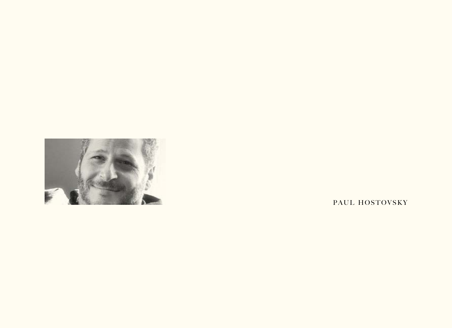

PAUL HOSTOVSKY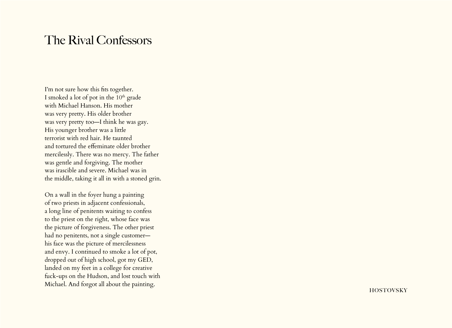### The Rival Confessors

I'm not sure how this fits together. I smoked a lot of pot in the 10<sup>th</sup> grade with Michael Hanson. His mother was very pretty. His older brother was very pretty too—I think he was gay. His younger brother was a little terrorist with red hair. He taunted and tortured the effeminate older brother mercilessly. There was no mercy. The father was gentle and forgiving. The mother was irascible and severe. Michael was in the middle, taking it all in with a stoned grin.

On a wall in the foyer hung a painting of two priests in adjacent confessionals, a long line of penitents waiting to confess to the priest on the right, whose face was the picture of forgiveness. The other priest had no penitents, not a single customer his face was the picture of mercilessness and envy. I continued to smoke a lot of pot, dropped out of high school, got my GED, landed on my feet in a college for creative fuck-ups on the Hudson, and lost touch with Michael. And forgot all about the painting.

**HOSTOVSKY**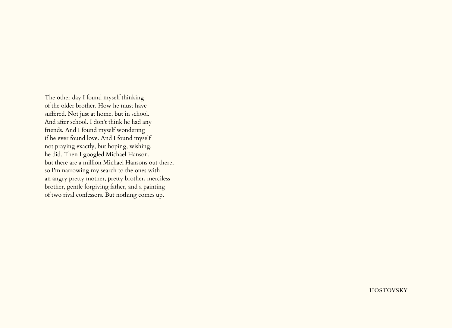The other day I found myself thinking of the older brother. How he must have suffered. Not just at home, but in school. And after school. I don't think he had any friends. And I found myself wondering if he ever found love. And I found myself not praying exactly, but hoping, wishing, he did. Then I googled Michael Hanson, but there are a million Michael Hansons out there, so I'm narrowing my search to the ones with an angry pretty mother, pretty brother, merciless brother, gentle forgiving father, and a painting of two rival confessors. But nothing comes up.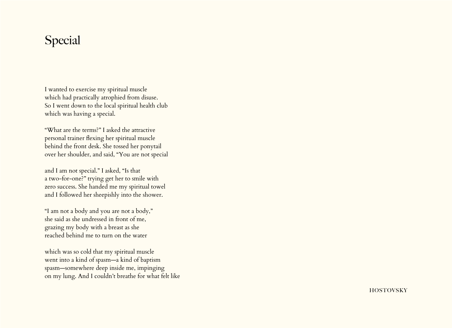### Special

I wanted to exercise my spiritual muscle which had practically atrophied from disuse. So I went down to the local spiritual health club which was having a special.

"What are the terms?" I asked the attractive personal trainer flexing her spiritual muscle behind the front desk. She tossed her ponytail over her shoulder, and said, "You are not special

and I am not special." I asked, "Is that a two-for-one?" trying get her to smile with zero success. She handed me my spiritual towel and I followed her sheepishly into the shower.

"I am not a body and you are not a body," she said as she undressed in front of me, grazing my body with a breast as she reached behind me to turn on the water

which was so cold that my spiritual muscle went into a kind of spasm—a kind of baptism spasm—somewhere deep inside me, impinging on my lung. And I couldn't breathe for what felt like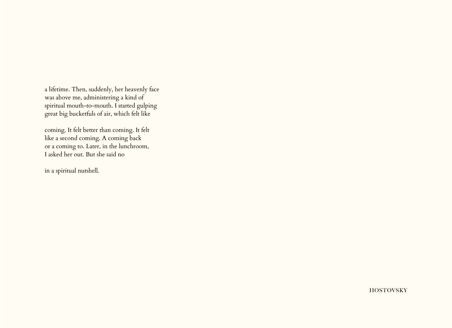a lifetime. Then, suddenly, her heavenly face was above me, administering a kind of spiritual mouth-to-mouth. I started gulping great big bucketfuls of air, which felt like

coming. It felt better than coming. It felt like a second coming. A coming back or a coming to. Later, in the lunchroom, I asked her out. But she said no

in a spiritual nutshell.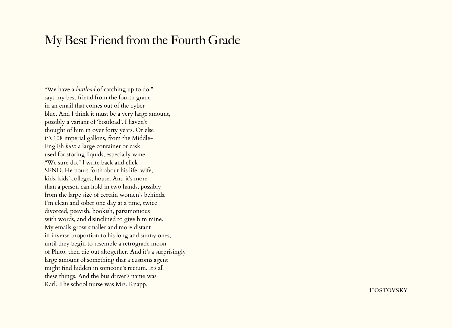## My Best Friend from the Fourth Grade

"We have a *buttload* of catching up to do," says my best friend from the fourth grade in an email that comes out of the cyber blue. And I think it must be a very large amount, possibly a variant of 'boatload'. I haven't thought of him in over forty years. Or else it's 108 imperial gallons, from the Middle-English *butt*: a large container or cask used for storing liquids, especially wine. "We sure do," I write back and click SEND. He pours forth about his life, wife, kids, kids' colleges, house. And it's more than a person can hold in two hands, possibly from the large size of certain women's behinds. I'm clean and sober one day at a time, twice divorced, peevish, bookish, parsimonious with words, and disinclined to give him mine. My emails grow smaller and more distant in inverse proportion to his long and sunny ones, until they begin to resemble a retrograde moon of Pluto, then die out altogether. And it's a surprisingly large amount of something that a customs agent might find hidden in someone's rectum. It's all these things. And the bus driver's name was Karl. The school nurse was Mrs. Knapp.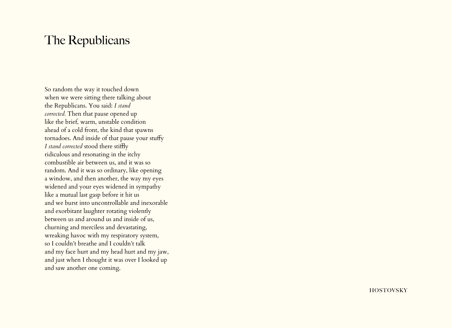## The Republicans

So random the way it touched down when we were sitting there talking about the Republicans. You said: *I stand corrected.* Then that pause opened up like the brief, warm, unstable condition ahead of a cold front, the kind that spawns tornadoes. And inside of that pause your stuffy *I stand corrected* stood there stiffly ridiculous and resonating in the itchy combustible air between us, and it was so random. And it was so ordinary, like opening a window, and then another, the way my eyes widened and your eyes widened in sympathy like a mutual last gasp before it hit us and we burst into uncontrollable and inexorable and exorbitant laughter rotating violently between us and around us and inside of us, churning and merciless and devastating, wreaking havoc with my respiratory system, so I couldn't breathe and I couldn't talk and my face hurt and my head hurt and my jaw, and just when I thought it was over I looked up and saw another one coming.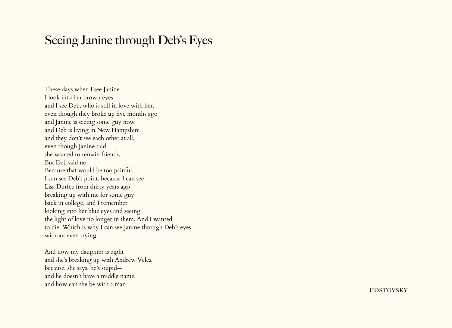# Seeing Janine through Deb's Eyes

These days when I see Janine I look into her brown eyes and I see Deb, who is still in love with her, even though they broke up five months ago and Janine is seeing some guy now and Deb is living in New Hampshire and they don't see each other at all, even though Janine said she wanted to remain friends. But Deb said no. Because that would be too painful. I can see Deb's point, because I can see Lisa Durfee from thirty years ago breaking up with me for some guy back in college, and I remember looking into her blue eyes and seeing the light of love no longer in them. And I wanted to die. Which is why I can see Janine through Deb's eyes without even trying.

And now my daughter is eight and she's breaking up with Andrew Velez because, she says, he's stupid and he doesn't have a middle name, and how can she be with a man